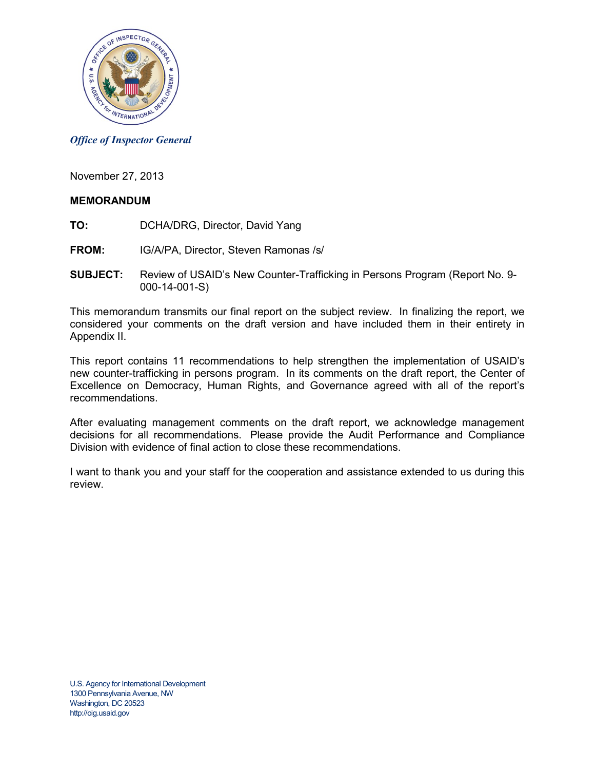

#### *Office of Inspector General*

November 27, 2013

#### **MEMORANDUM**

- **TO:** DCHA/DRG, Director, David Yang
- **FROM:** IG/A/PA, Director, Steven Ramonas /s/
- **SUBJECT:** Review of USAID's New Counter-Trafficking in Persons Program (Report No. 9- 000-14-001-S)

This memorandum transmits our final report on the subject review. In finalizing the report, we considered your comments on the draft version and have included them in their entirety in Appendix II.

This report contains 11 recommendations to help strengthen the implementation of USAID's new counter-trafficking in persons program. In its comments on the draft report, the Center of Excellence on Democracy, Human Rights, and Governance agreed with all of the report's recommendations.

After evaluating management comments on the draft report, we acknowledge management decisions for all recommendations. Please provide the Audit Performance and Compliance Division with evidence of final action to close these recommendations.

I want to thank you and your staff for the cooperation and assistance extended to us during this review.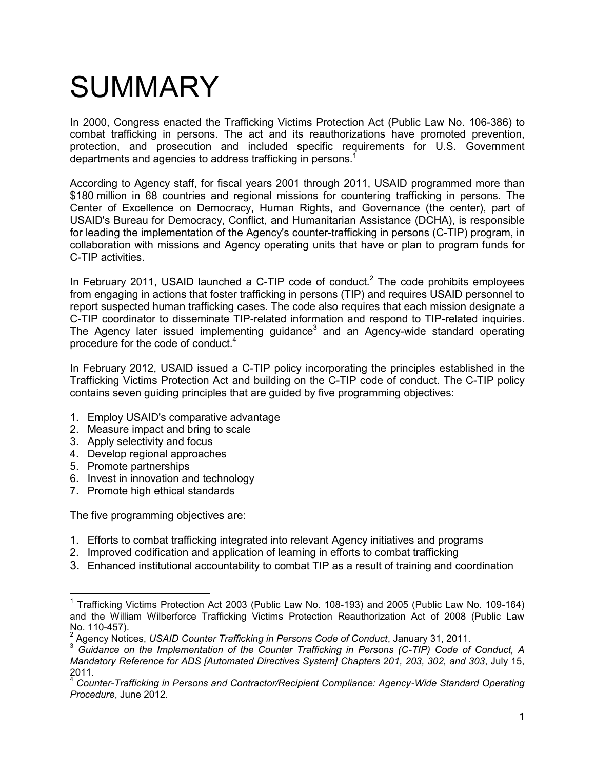## SUMMARY

In 2000, Congress enacted the Trafficking Victims Protection Act (Public Law No. 106-386) to combat trafficking in persons. The act and its reauthorizations have promoted prevention, protection, and prosecution and included specific requirements for U.S. Government departments and agencies to address trafficking in persons.<sup>1</sup>

According to Agency staff, for fiscal years 2001 through 2011, USAID programmed more than \$180 million in 68 countries and regional missions for countering trafficking in persons. The Center of Excellence on Democracy, Human Rights, and Governance (the center), part of USAID's Bureau for Democracy, Conflict, and Humanitarian Assistance (DCHA), is responsible for leading the implementation of the Agency's counter-trafficking in persons (C-TIP) program, in collaboration with missions and Agency operating units that have or plan to program funds for C-TIP activities.

In February 2011, USAID launched a C-TIP code of conduct.<sup>2</sup> The code prohibits employees from engaging in actions that foster trafficking in persons (TIP) and requires USAID personnel to report suspected human trafficking cases. The code also requires that each mission designate a C-TIP coordinator to disseminate TIP-related information and respond to TIP-related inquiries. The Agency later issued implementing guidance<sup>3</sup> and an Agency-wide standard operating procedure for the code of conduct.<sup>4</sup>

In February 2012, USAID issued a C-TIP policy incorporating the principles established in the Trafficking Victims Protection Act and building on the C-TIP code of conduct. The C-TIP policy contains seven guiding principles that are guided by five programming objectives:

- 1. Employ USAID's comparative advantage
- 2. Measure impact and bring to scale
- 3. Apply selectivity and focus
- 4. Develop regional approaches
- 5. Promote partnerships

 $\overline{a}$ 

- 6. Invest in innovation and technology
- 7. Promote high ethical standards

The five programming objectives are:

- 1. Efforts to combat trafficking integrated into relevant Agency initiatives and programs
- 2. Improved codification and application of learning in efforts to combat trafficking
- 3. Enhanced institutional accountability to combat TIP as a result of training and coordination

<sup>&</sup>lt;sup>1</sup> Trafficking Victims Protection Act 2003 (Public Law No. 108-193) and 2005 (Public Law No. 109-164) and the William Wilberforce Trafficking Victims Protection Reauthorization Act of 2008 (Public Law No. 110-457).

<sup>2</sup> Agency Notices, *USAID Counter Trafficking in Persons Code of Conduct*, January 31, 2011.

<sup>3</sup> *Guidance on the Implementation of the Counter Trafficking in Persons (C-TIP) Code of Conduct, A Mandatory Reference for ADS [Automated Directives System] Chapters 201, 203, 302, and 303*, July 15,  $^{2011.}$ 

<sup>4</sup> *Counter-Trafficking in Persons and Contractor/Recipient Compliance: Agency-Wide Standard Operating Procedure*, June 2012.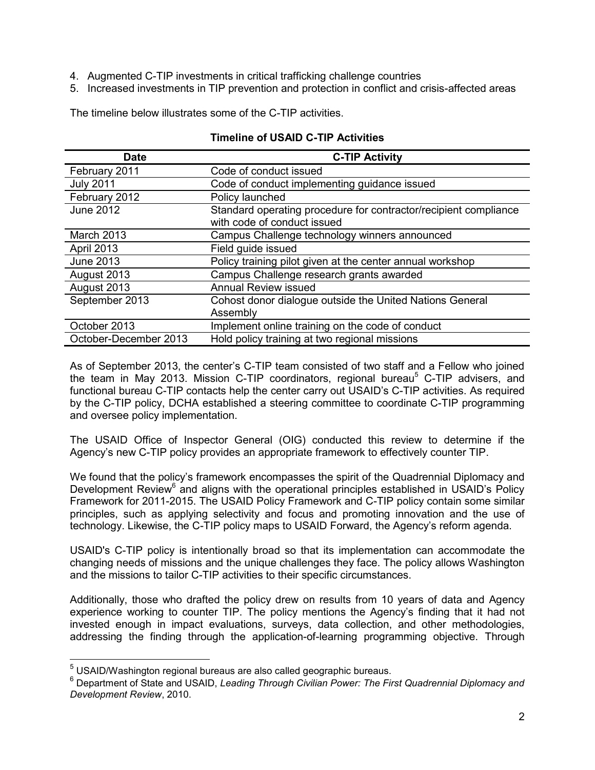- 4. Augmented C-TIP investments in critical trafficking challenge countries
- 5. Increased investments in TIP prevention and protection in conflict and crisis-affected areas

The timeline below illustrates some of the C-TIP activities.

| <b>Date</b>           | <b>C-TIP Activity</b>                                                                           |
|-----------------------|-------------------------------------------------------------------------------------------------|
| February 2011         | Code of conduct issued                                                                          |
| <b>July 2011</b>      | Code of conduct implementing guidance issued                                                    |
| February 2012         | Policy launched                                                                                 |
| <b>June 2012</b>      | Standard operating procedure for contractor/recipient compliance<br>with code of conduct issued |
| March 2013            | Campus Challenge technology winners announced                                                   |
| April 2013            | Field guide issued                                                                              |
| June 2013             | Policy training pilot given at the center annual workshop                                       |
| August 2013           | Campus Challenge research grants awarded                                                        |
| August 2013           | <b>Annual Review issued</b>                                                                     |
| September 2013        | Cohost donor dialogue outside the United Nations General<br>Assembly                            |
| October 2013          | Implement online training on the code of conduct                                                |
| October-December 2013 | Hold policy training at two regional missions                                                   |

#### **Timeline of USAID C-TIP Activities**

As of September 2013, the center's C-TIP team consisted of two staff and a Fellow who joined the team in May 2013. Mission C-TIP coordinators, regional bureau<sup>5</sup> C-TIP advisers, and functional bureau C-TIP contacts help the center carry out USAID's C-TIP activities. As required by the C-TIP policy, DCHA established a steering committee to coordinate C-TIP programming and oversee policy implementation.

The USAID Office of Inspector General (OIG) conducted this review to determine if the Agency's new C-TIP policy provides an appropriate framework to effectively counter TIP.

We found that the policy's framework encompasses the spirit of the Quadrennial Diplomacy and Development Review<sup>6</sup> and aligns with the operational principles established in USAID's Policy Framework for 2011-2015. The USAID Policy Framework and C-TIP policy contain some similar principles, such as applying selectivity and focus and promoting innovation and the use of technology. Likewise, the C-TIP policy maps to USAID Forward, the Agency's reform agenda.

USAID's C-TIP policy is intentionally broad so that its implementation can accommodate the changing needs of missions and the unique challenges they face. The policy allows Washington and the missions to tailor C-TIP activities to their specific circumstances.

Additionally, those who drafted the policy drew on results from 10 years of data and Agency experience working to counter TIP. The policy mentions the Agency's finding that it had not invested enough in impact evaluations, surveys, data collection, and other methodologies, addressing the finding through the application-of-learning programming objective. Through

 $\overline{a}$ 

<sup>&</sup>lt;sup>5</sup> USAID/Washington regional bureaus are also called geographic bureaus.

<sup>6</sup> Department of State and USAID, *Leading Through Civilian Power: The First Quadrennial Diplomacy and Development Review*, 2010.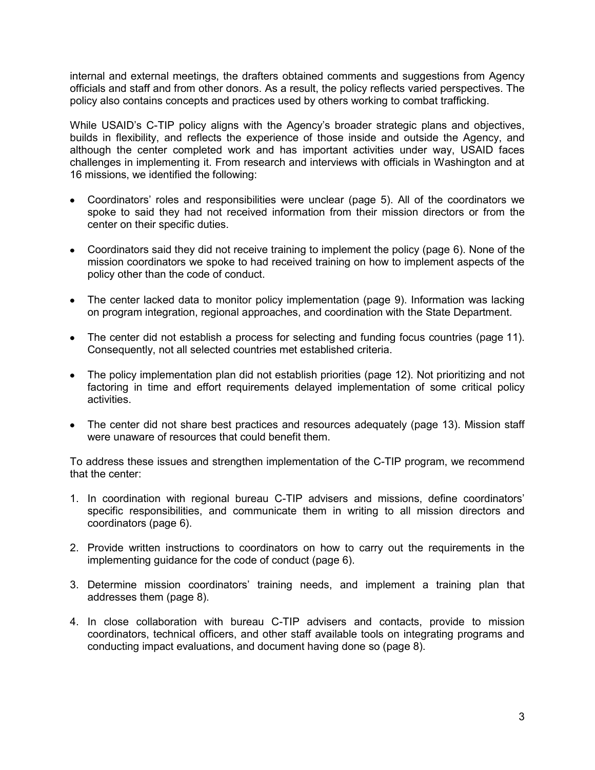internal and external meetings, the drafters obtained comments and suggestions from Agency officials and staff and from other donors. As a result, the policy reflects varied perspectives. The policy also contains concepts and practices used by others working to combat trafficking.

While USAID's C-TIP policy aligns with the Agency's broader strategic plans and objectives, builds in flexibility, and reflects the experience of those inside and outside the Agency, and although the center completed work and has important activities under way, USAID faces challenges in implementing it. From research and interviews with officials in Washington and at 16 missions, we identified the following:

- Coordinators' roles and responsibilities were unclear (page [5\)](#page-5-0). All of the coordinators we spoke to said they had not received information from their mission directors or from the center on their specific duties.
- Coordinators said they did not receive training to implement the policy (page [6\)](#page-6-0). None of the mission coordinators we spoke to had received training on how to implement aspects of the policy other than the code of conduct.
- The center lacked data to monitor policy implementation (page [9\)](#page-9-0). Information was lacking on program integration, regional approaches, and coordination with the State Department.
- The center did not establish a process for selecting and funding focus countries (page [11\)](#page-11-0). Consequently, not all selected countries met established criteria.
- The policy implementation plan did not establish priorities (page [12\)](#page-12-0). Not prioritizing and not factoring in time and effort requirements delayed implementation of some critical policy activities.
- The center did not share best practices and resources adequately (page [13\)](#page-13-0). Mission staff were unaware of resources that could benefit them.

To address these issues and strengthen implementation of the C-TIP program, we recommend that the center:

- 1. In coordination with regional bureau C-TIP advisers and missions, define coordinators' specific responsibilities, and communicate them in writing to all mission directors and coordinators (page [6\)](#page-6-1).
- 2. Provide written instructions to coordinators on how to carry out the requirements in the implementing guidance for the code of conduct (page [6\)](#page-6-2).
- 3. Determine mission coordinators' training needs, and implement a training plan that addresses them (page [8\)](#page-8-0).
- 4. In close collaboration with bureau C-TIP advisers and contacts, provide to mission coordinators, technical officers, and other staff available tools on integrating programs and conducting impact evaluations, and document having done so (page [8\)](#page-8-1).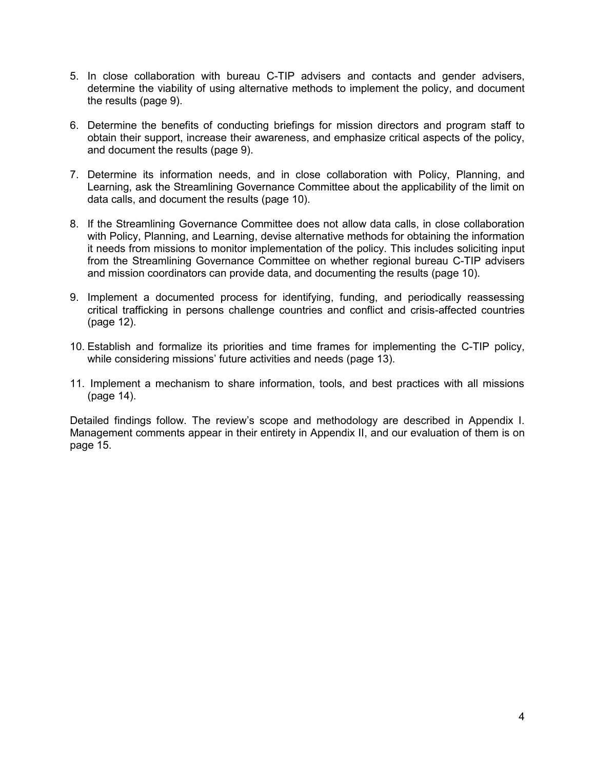- 5. In close collaboration with bureau C-TIP advisers and contacts and gender advisers, determine the viability of using alternative methods to implement the policy, and document the results (page [9\)](#page-9-1).
- 6. Determine the benefits of conducting briefings for mission directors and program staff to obtain their support, increase their awareness, and emphasize critical aspects of the policy, and document the results (page [9\)](#page-9-2).
- 7. Determine its information needs, and in close collaboration with Policy, Planning, and Learning, ask the Streamlining Governance Committee about the applicability of the limit on data calls, and document the results (page [10\)](#page-10-0).
- 8. If the Streamlining Governance Committee does not allow data calls, in close collaboration with Policy, Planning, and Learning, devise alternative methods for obtaining the information it needs from missions to monitor implementation of the policy. This includes soliciting input from the Streamlining Governance Committee on whether regional bureau C-TIP advisers and mission coordinators can provide data, and documenting the results (page [10\)](#page-10-1).
- 9. Implement a documented process for identifying, funding, and periodically reassessing critical trafficking in persons challenge countries and conflict and crisis-affected countries (page [12\)](#page-12-1).
- 10. Establish and formalize its priorities and time frames for implementing the C-TIP policy, while considering missions' future activities and needs (page [13\)](#page-13-1).
- 11. Implement a mechanism to share information, tools, and best practices with all missions (page [14\)](#page-14-0).

Detailed findings follow. The review's scope and methodology are described in Appendix I. Management comments appear in their entirety in Appendix II, and our evaluation of them is on page [15.](#page-15-0)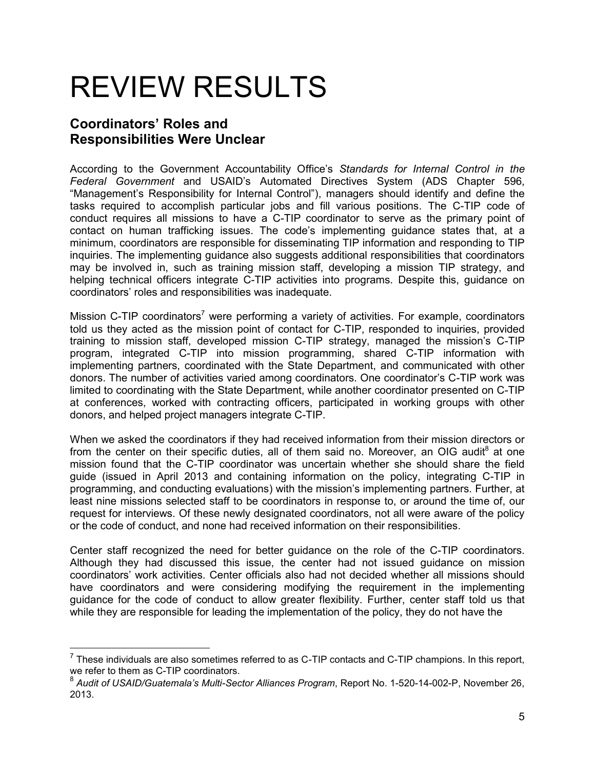## REVIEW RESULTS

## <span id="page-5-0"></span>**Coordinators' Roles and Responsibilities Were Unclear**

According to the Government Accountability Office's *Standards for Internal Control in the Federal Government* and USAID's Automated Directives System (ADS Chapter 596, "Management's Responsibility for Internal Control"), managers should identify and define the tasks required to accomplish particular jobs and fill various positions. The C-TIP code of conduct requires all missions to have a C-TIP coordinator to serve as the primary point of contact on human trafficking issues. The code's implementing guidance states that, at a minimum, coordinators are responsible for disseminating TIP information and responding to TIP inquiries. The implementing guidance also suggests additional responsibilities that coordinators may be involved in, such as training mission staff, developing a mission TIP strategy, and helping technical officers integrate C-TIP activities into programs. Despite this, guidance on coordinators' roles and responsibilities was inadequate.

Mission C-TIP coordinators<sup>7</sup> were performing a variety of activities. For example, coordinators told us they acted as the mission point of contact for C-TIP, responded to inquiries, provided training to mission staff, developed mission C-TIP strategy, managed the mission's C-TIP program, integrated C-TIP into mission programming, shared C-TIP information with implementing partners, coordinated with the State Department, and communicated with other donors. The number of activities varied among coordinators. One coordinator's C-TIP work was limited to coordinating with the State Department, while another coordinator presented on C-TIP at conferences, worked with contracting officers, participated in working groups with other donors, and helped project managers integrate C-TIP.

When we asked the coordinators if they had received information from their mission directors or from the center on their specific duties, all of them said no. Moreover, an OIG audit $^8$  at one mission found that the C-TIP coordinator was uncertain whether she should share the field guide (issued in April 2013 and containing information on the policy, integrating C-TIP in programming, and conducting evaluations) with the mission's implementing partners. Further, at least nine missions selected staff to be coordinators in response to, or around the time of, our request for interviews. Of these newly designated coordinators, not all were aware of the policy or the code of conduct, and none had received information on their responsibilities.

Center staff recognized the need for better guidance on the role of the C-TIP coordinators. Although they had discussed this issue, the center had not issued guidance on mission coordinators' work activities. Center officials also had not decided whether all missions should have coordinators and were considering modifying the requirement in the implementing guidance for the code of conduct to allow greater flexibility. Further, center staff told us that while they are responsible for leading the implementation of the policy, they do not have the

 $<sup>7</sup>$  These individuals are also sometimes referred to as C-TIP contacts and C-TIP champions. In this report,</sup> we refer to them as C-TIP coordinators.

<sup>8</sup> *Audit of USAID/Guatemala's Multi-Sector Alliances Program*, Report No. 1-520-14-002-P, November 26, 2013.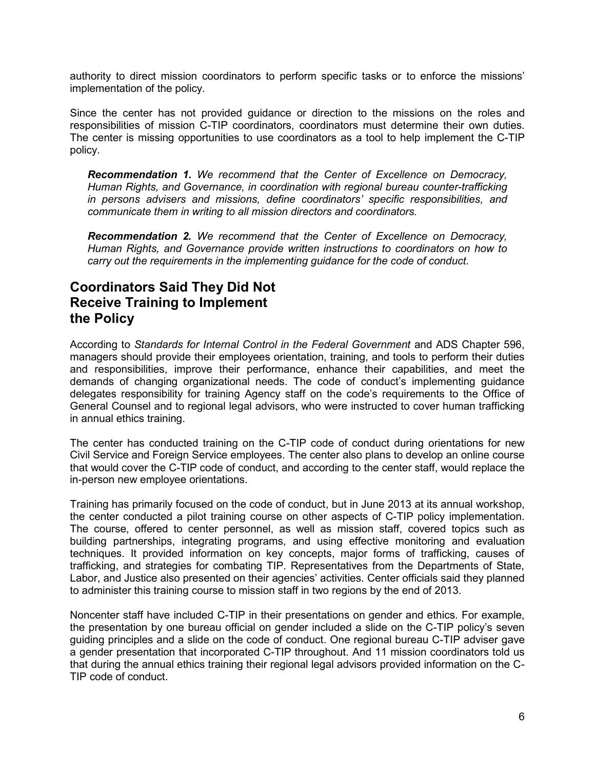authority to direct mission coordinators to perform specific tasks or to enforce the missions' implementation of the policy.

Since the center has not provided guidance or direction to the missions on the roles and responsibilities of mission C-TIP coordinators, coordinators must determine their own duties. The center is missing opportunities to use coordinators as a tool to help implement the C-TIP policy.

<span id="page-6-1"></span>*Recommendation 1. We recommend that the Center of Excellence on Democracy, Human Rights, and Governance, in coordination with regional bureau counter-trafficking in persons advisers and missions, define coordinators' specific responsibilities, and communicate them in writing to all mission directors and coordinators.* 

<span id="page-6-2"></span>*Recommendation 2. We recommend that the Center of Excellence on Democracy, Human Rights, and Governance provide written instructions to coordinators on how to carry out the requirements in the implementing guidance for the code of conduct.*

### <span id="page-6-0"></span>**Coordinators Said They Did Not Receive Training to Implement the Policy**

According to *Standards for Internal Control in the Federal Government* and ADS Chapter 596, managers should provide their employees orientation, training, and tools to perform their duties and responsibilities, improve their performance, enhance their capabilities, and meet the demands of changing organizational needs. The code of conduct's implementing guidance delegates responsibility for training Agency staff on the code's requirements to the Office of General Counsel and to regional legal advisors, who were instructed to cover human trafficking in annual ethics training.

The center has conducted training on the C-TIP code of conduct during orientations for new Civil Service and Foreign Service employees. The center also plans to develop an online course that would cover the C-TIP code of conduct, and according to the center staff, would replace the in-person new employee orientations.

Training has primarily focused on the code of conduct, but in June 2013 at its annual workshop, the center conducted a pilot training course on other aspects of C-TIP policy implementation. The course, offered to center personnel, as well as mission staff, covered topics such as building partnerships, integrating programs, and using effective monitoring and evaluation techniques. It provided information on key concepts, major forms of trafficking, causes of trafficking, and strategies for combating TIP. Representatives from the Departments of State, Labor, and Justice also presented on their agencies' activities. Center officials said they planned to administer this training course to mission staff in two regions by the end of 2013.

Noncenter staff have included C-TIP in their presentations on gender and ethics. For example, the presentation by one bureau official on gender included a slide on the C-TIP policy's seven guiding principles and a slide on the code of conduct. One regional bureau C-TIP adviser gave a gender presentation that incorporated C-TIP throughout. And 11 mission coordinators told us that during the annual ethics training their regional legal advisors provided information on the C-TIP code of conduct.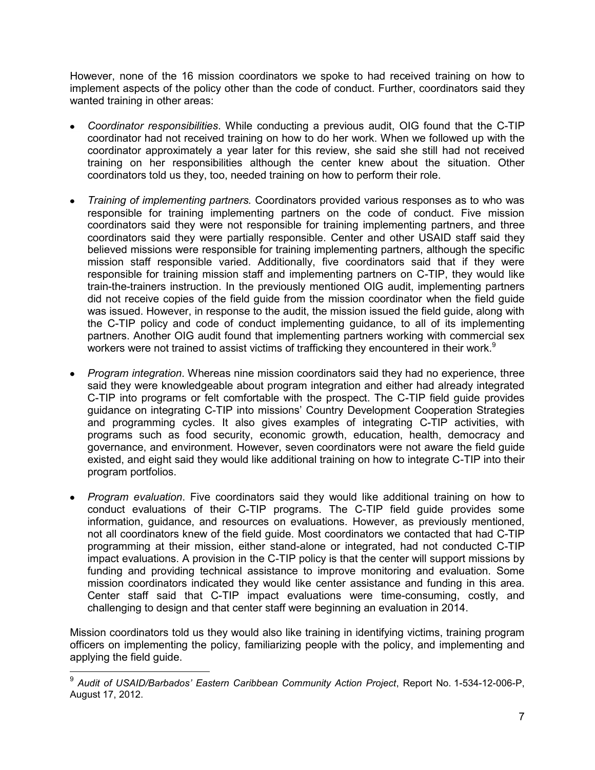However, none of the 16 mission coordinators we spoke to had received training on how to implement aspects of the policy other than the code of conduct. Further, coordinators said they wanted training in other areas:

- *Coordinator responsibilities*. While conducting a previous audit, OIG found that the C-TIP coordinator had not received training on how to do her work. When we followed up with the coordinator approximately a year later for this review, she said she still had not received training on her responsibilities although the center knew about the situation. Other coordinators told us they, too, needed training on how to perform their role.
- *Training of implementing partners.* Coordinators provided various responses as to who was responsible for training implementing partners on the code of conduct. Five mission coordinators said they were not responsible for training implementing partners, and three coordinators said they were partially responsible. Center and other USAID staff said they believed missions were responsible for training implementing partners, although the specific mission staff responsible varied. Additionally, five coordinators said that if they were responsible for training mission staff and implementing partners on C-TIP, they would like train-the-trainers instruction. In the previously mentioned OIG audit, implementing partners did not receive copies of the field guide from the mission coordinator when the field guide was issued. However, in response to the audit, the mission issued the field guide, along with the C-TIP policy and code of conduct implementing guidance, to all of its implementing partners. Another OIG audit found that implementing partners working with commercial sex workers were not trained to assist victims of trafficking they encountered in their work.<sup>9</sup>
- *Program integration*. Whereas nine mission coordinators said they had no experience, three said they were knowledgeable about program integration and either had already integrated C-TIP into programs or felt comfortable with the prospect. The C-TIP field guide provides guidance on integrating C-TIP into missions' Country Development Cooperation Strategies and programming cycles. It also gives examples of integrating C-TIP activities, with programs such as food security, economic growth, education, health, democracy and governance, and environment. However, seven coordinators were not aware the field guide existed, and eight said they would like additional training on how to integrate C-TIP into their program portfolios.
- *Program evaluation*. Five coordinators said they would like additional training on how to conduct evaluations of their C-TIP programs. The C-TIP field guide provides some information, guidance, and resources on evaluations. However, as previously mentioned, not all coordinators knew of the field guide. Most coordinators we contacted that had C-TIP programming at their mission, either stand-alone or integrated, had not conducted C-TIP impact evaluations. A provision in the C-TIP policy is that the center will support missions by funding and providing technical assistance to improve monitoring and evaluation. Some mission coordinators indicated they would like center assistance and funding in this area. Center staff said that C-TIP impact evaluations were time-consuming, costly, and challenging to design and that center staff were beginning an evaluation in 2014.

Mission coordinators told us they would also like training in identifying victims, training program officers on implementing the policy, familiarizing people with the policy, and implementing and applying the field guide.

 9 *Audit of USAID/Barbados' Eastern Caribbean Community Action Project*, Report No. 1-534-12-006-P, August 17, 2012.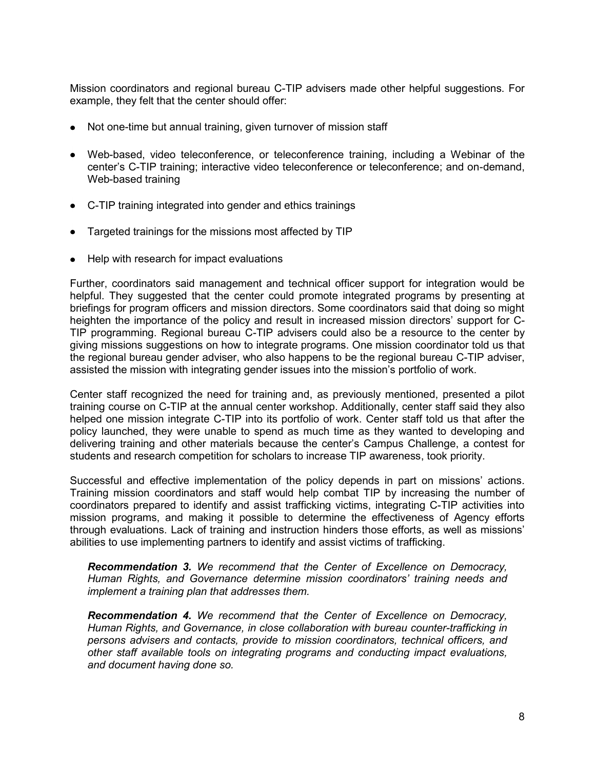Mission coordinators and regional bureau C-TIP advisers made other helpful suggestions. For example, they felt that the center should offer:

- Not one-time but annual training, given turnover of mission staff
- Web-based, video teleconference, or teleconference training, including a Webinar of the center's C-TIP training; interactive video teleconference or teleconference; and on-demand, Web-based training
- C-TIP training integrated into gender and ethics trainings
- Targeted trainings for the missions most affected by TIP
- Help with research for impact evaluations

Further, coordinators said management and technical officer support for integration would be helpful. They suggested that the center could promote integrated programs by presenting at briefings for program officers and mission directors. Some coordinators said that doing so might heighten the importance of the policy and result in increased mission directors' support for C-TIP programming. Regional bureau C-TIP advisers could also be a resource to the center by giving missions suggestions on how to integrate programs. One mission coordinator told us that the regional bureau gender adviser, who also happens to be the regional bureau C-TIP adviser, assisted the mission with integrating gender issues into the mission's portfolio of work.

Center staff recognized the need for training and, as previously mentioned, presented a pilot training course on C-TIP at the annual center workshop. Additionally, center staff said they also helped one mission integrate C-TIP into its portfolio of work. Center staff told us that after the policy launched, they were unable to spend as much time as they wanted to developing and delivering training and other materials because the center's Campus Challenge, a contest for students and research competition for scholars to increase TIP awareness, took priority.

Successful and effective implementation of the policy depends in part on missions' actions. Training mission coordinators and staff would help combat TIP by increasing the number of coordinators prepared to identify and assist trafficking victims, integrating C-TIP activities into mission programs, and making it possible to determine the effectiveness of Agency efforts through evaluations. Lack of training and instruction hinders those efforts, as well as missions' abilities to use implementing partners to identify and assist victims of trafficking.

<span id="page-8-0"></span>*Recommendation 3. We recommend that the Center of Excellence on Democracy, Human Rights, and Governance determine mission coordinators' training needs and implement a training plan that addresses them.*

<span id="page-8-1"></span>*Recommendation 4. We recommend that the Center of Excellence on Democracy, Human Rights, and Governance, in close collaboration with bureau counter-trafficking in persons advisers and contacts, provide to mission coordinators, technical officers, and other staff available tools on integrating programs and conducting impact evaluations, and document having done so.*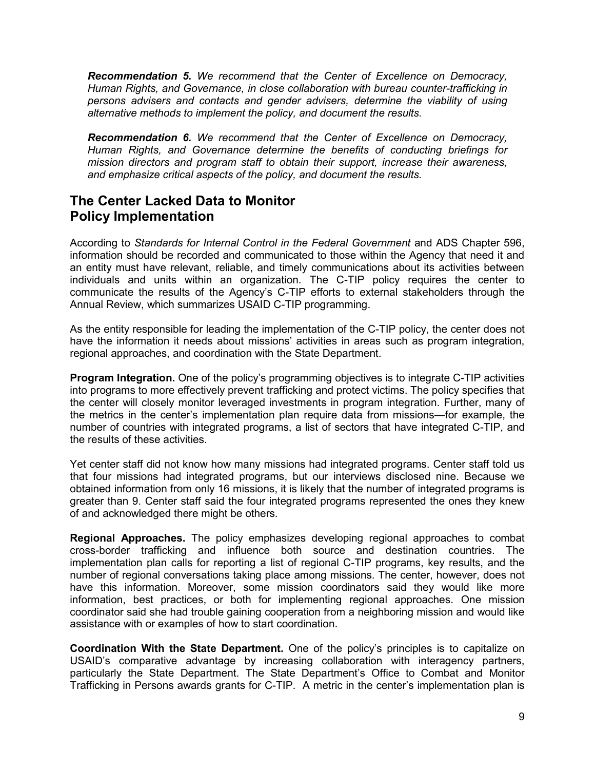<span id="page-9-1"></span>*Recommendation 5. We recommend that the Center of Excellence on Democracy, Human Rights, and Governance, in close collaboration with bureau counter-trafficking in persons advisers and contacts and gender advisers, determine the viability of using alternative methods to implement the policy, and document the results.* 

<span id="page-9-2"></span>*Recommendation 6. We recommend that the Center of Excellence on Democracy, Human Rights, and Governance determine the benefits of conducting briefings for mission directors and program staff to obtain their support, increase their awareness, and emphasize critical aspects of the policy, and document the results.*

### <span id="page-9-0"></span>**The Center Lacked Data to Monitor Policy Implementation**

According to *Standards for Internal Control in the Federal Government* and ADS Chapter 596, information should be recorded and communicated to those within the Agency that need it and an entity must have relevant, reliable, and timely communications about its activities between individuals and units within an organization. The C-TIP policy requires the center to communicate the results of the Agency's C-TIP efforts to external stakeholders through the Annual Review, which summarizes USAID C-TIP programming.

As the entity responsible for leading the implementation of the C-TIP policy, the center does not have the information it needs about missions' activities in areas such as program integration, regional approaches, and coordination with the State Department.

**Program Integration.** One of the policy's programming objectives is to integrate C-TIP activities into programs to more effectively prevent trafficking and protect victims. The policy specifies that the center will closely monitor leveraged investments in program integration. Further, many of the metrics in the center's implementation plan require data from missions—for example, the number of countries with integrated programs, a list of sectors that have integrated C-TIP, and the results of these activities.

Yet center staff did not know how many missions had integrated programs. Center staff told us that four missions had integrated programs, but our interviews disclosed nine. Because we obtained information from only 16 missions, it is likely that the number of integrated programs is greater than 9. Center staff said the four integrated programs represented the ones they knew of and acknowledged there might be others.

**Regional Approaches.** The policy emphasizes developing regional approaches to combat cross-border trafficking and influence both source and destination countries. The implementation plan calls for reporting a list of regional C-TIP programs, key results, and the number of regional conversations taking place among missions. The center, however, does not have this information. Moreover, some mission coordinators said they would like more information, best practices, or both for implementing regional approaches. One mission coordinator said she had trouble gaining cooperation from a neighboring mission and would like assistance with or examples of how to start coordination.

**Coordination With the State Department.** One of the policy's principles is to capitalize on USAID's comparative advantage by increasing collaboration with interagency partners, particularly the State Department. The State Department's Office to Combat and Monitor Trafficking in Persons awards grants for C-TIP. A metric in the center's implementation plan is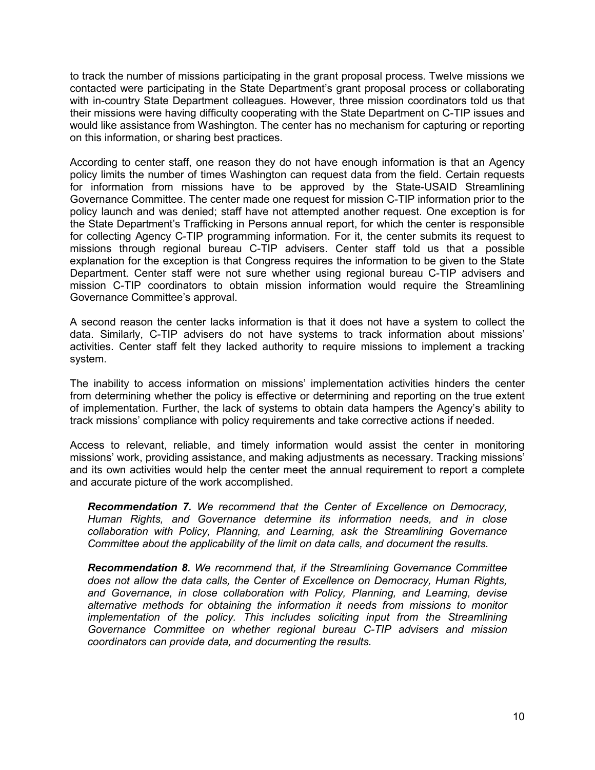to track the number of missions participating in the grant proposal process. Twelve missions we contacted were participating in the State Department's grant proposal process or collaborating with in-country State Department colleagues. However, three mission coordinators told us that their missions were having difficulty cooperating with the State Department on C-TIP issues and would like assistance from Washington. The center has no mechanism for capturing or reporting on this information, or sharing best practices.

According to center staff, one reason they do not have enough information is that an Agency policy limits the number of times Washington can request data from the field. Certain requests for information from missions have to be approved by the State-USAID Streamlining Governance Committee. The center made one request for mission C-TIP information prior to the policy launch and was denied; staff have not attempted another request. One exception is for the State Department's Trafficking in Persons annual report, for which the center is responsible for collecting Agency C-TIP programming information. For it, the center submits its request to missions through regional bureau C-TIP advisers. Center staff told us that a possible explanation for the exception is that Congress requires the information to be given to the State Department. Center staff were not sure whether using regional bureau C-TIP advisers and mission C-TIP coordinators to obtain mission information would require the Streamlining Governance Committee's approval.

A second reason the center lacks information is that it does not have a system to collect the data. Similarly, C-TIP advisers do not have systems to track information about missions' activities. Center staff felt they lacked authority to require missions to implement a tracking system.

The inability to access information on missions' implementation activities hinders the center from determining whether the policy is effective or determining and reporting on the true extent of implementation. Further, the lack of systems to obtain data hampers the Agency's ability to track missions' compliance with policy requirements and take corrective actions if needed.

Access to relevant, reliable, and timely information would assist the center in monitoring missions' work, providing assistance, and making adjustments as necessary. Tracking missions' and its own activities would help the center meet the annual requirement to report a complete and accurate picture of the work accomplished.

<span id="page-10-0"></span>*Recommendation 7. We recommend that the Center of Excellence on Democracy, Human Rights, and Governance determine its information needs, and in close collaboration with Policy, Planning, and Learning, ask the Streamlining Governance Committee about the applicability of the limit on data calls, and document the results.* 

<span id="page-10-1"></span>*Recommendation 8. We recommend that, if the Streamlining Governance Committee does not allow the data calls, the Center of Excellence on Democracy, Human Rights, and Governance, in close collaboration with Policy, Planning, and Learning, devise alternative methods for obtaining the information it needs from missions to monitor implementation of the policy. This includes soliciting input from the Streamlining Governance Committee on whether regional bureau C-TIP advisers and mission coordinators can provide data, and documenting the results.*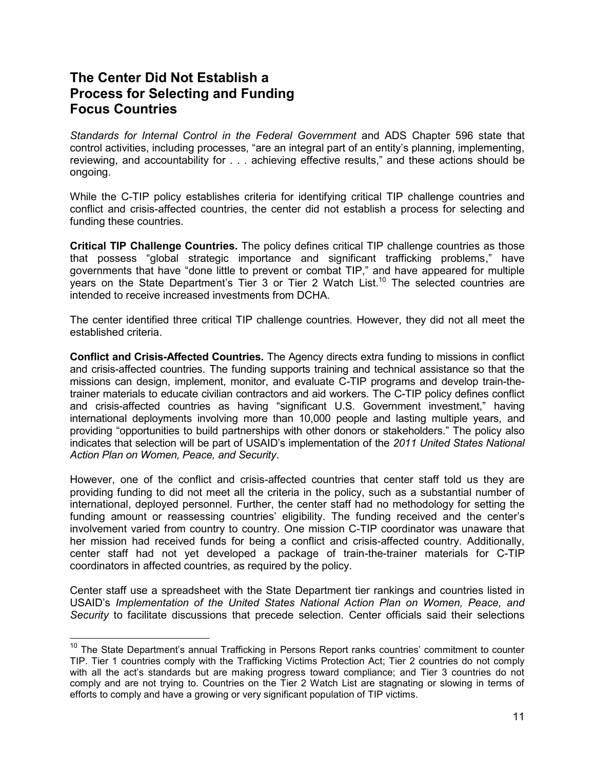### <span id="page-11-0"></span>**The Center Did Not Establish a Process for Selecting and Funding Focus Countries**

*Standards for Internal Control in the Federal Government* and ADS Chapter 596 state that control activities, including processes, "are an integral part of an entity's planning, implementing, reviewing, and accountability for . . . achieving effective results," and these actions should be ongoing.

While the C-TIP policy establishes criteria for identifying critical TIP challenge countries and conflict and crisis-affected countries, the center did not establish a process for selecting and funding these countries.

**Critical TIP Challenge Countries.** The policy defines critical TIP challenge countries as those that possess "global strategic importance and significant trafficking problems," have governments that have "done little to prevent or combat TIP," and have appeared for multiple years on the State Department's Tier 3 or Tier 2 Watch List.<sup>10</sup> The selected countries are intended to receive increased investments from DCHA.

The center identified three critical TIP challenge countries. However, they did not all meet the established criteria.

**Conflict and Crisis-Affected Countries.** The Agency directs extra funding to missions in conflict and crisis-affected countries. The funding supports training and technical assistance so that the missions can design, implement, monitor, and evaluate C-TIP programs and develop train-thetrainer materials to educate civilian contractors and aid workers. The C-TIP policy defines conflict and crisis-affected countries as having "significant U.S. Government investment," having international deployments involving more than 10,000 people and lasting multiple years, and providing "opportunities to build partnerships with other donors or stakeholders." The policy also indicates that selection will be part of USAID's implementation of the *2011 United States National Action Plan on Women, Peace, and Security*.

However, one of the conflict and crisis-affected countries that center staff told us they are providing funding to did not meet all the criteria in the policy, such as a substantial number of international, deployed personnel. Further, the center staff had no methodology for setting the funding amount or reassessing countries' eligibility. The funding received and the center's involvement varied from country to country. One mission C-TIP coordinator was unaware that her mission had received funds for being a conflict and crisis-affected country. Additionally, center staff had not yet developed a package of train-the-trainer materials for C-TIP coordinators in affected countries, as required by the policy.

Center staff use a spreadsheet with the State Department tier rankings and countries listed in USAID's *Implementation of the United States National Action Plan on Women, Peace, and Security* to facilitate discussions that precede selection. Center officials said their selections

<sup>&</sup>lt;sup>10</sup> The State Department's annual Trafficking in Persons Report ranks countries' commitment to counter TIP. Tier 1 countries comply with the Trafficking Victims Protection Act; Tier 2 countries do not comply with all the act's standards but are making progress toward compliance; and Tier 3 countries do not comply and are not trying to. Countries on the Tier 2 Watch List are stagnating or slowing in terms of efforts to comply and have a growing or very significant population of TIP victims.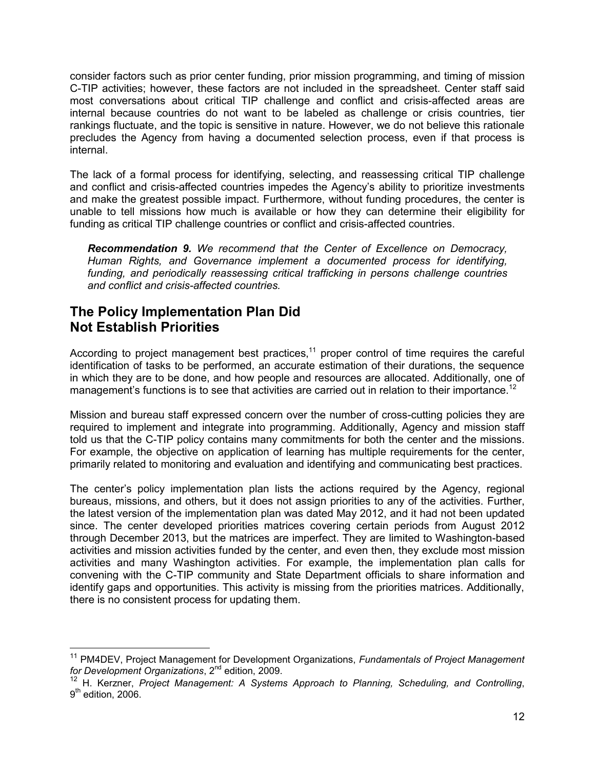consider factors such as prior center funding, prior mission programming, and timing of mission C-TIP activities; however, these factors are not included in the spreadsheet. Center staff said most conversations about critical TIP challenge and conflict and crisis-affected areas are internal because countries do not want to be labeled as challenge or crisis countries, tier rankings fluctuate, and the topic is sensitive in nature. However, we do not believe this rationale precludes the Agency from having a documented selection process, even if that process is internal.

The lack of a formal process for identifying, selecting, and reassessing critical TIP challenge and conflict and crisis-affected countries impedes the Agency's ability to prioritize investments and make the greatest possible impact. Furthermore, without funding procedures, the center is unable to tell missions how much is available or how they can determine their eligibility for funding as critical TIP challenge countries or conflict and crisis-affected countries.

<span id="page-12-1"></span>*Recommendation 9. We recommend that the Center of Excellence on Democracy, Human Rights, and Governance implement a documented process for identifying, funding, and periodically reassessing critical trafficking in persons challenge countries and conflict and crisis-affected countries.*

#### <span id="page-12-0"></span>**The Policy Implementation Plan Did Not Establish Priorities**

According to project management best practices,<sup>11</sup> proper control of time requires the careful identification of tasks to be performed, an accurate estimation of their durations, the sequence in which they are to be done, and how people and resources are allocated. Additionally, one of management's functions is to see that activities are carried out in relation to their importance.<sup>12</sup>

Mission and bureau staff expressed concern over the number of cross-cutting policies they are required to implement and integrate into programming. Additionally, Agency and mission staff told us that the C-TIP policy contains many commitments for both the center and the missions. For example, the objective on application of learning has multiple requirements for the center, primarily related to monitoring and evaluation and identifying and communicating best practices.

The center's policy implementation plan lists the actions required by the Agency, regional bureaus, missions, and others, but it does not assign priorities to any of the activities. Further, the latest version of the implementation plan was dated May 2012, and it had not been updated since. The center developed priorities matrices covering certain periods from August 2012 through December 2013, but the matrices are imperfect. They are limited to Washington-based activities and mission activities funded by the center, and even then, they exclude most mission activities and many Washington activities. For example, the implementation plan calls for convening with the C-TIP community and State Department officials to share information and identify gaps and opportunities. This activity is missing from the priorities matrices. Additionally, there is no consistent process for updating them.

<sup>11</sup> PM4DEV, Project Management for Development Organizations, *Fundamentals of Project Management for Development Organizations*, 2nd edition, 2009.

<sup>12</sup> H. Kerzner, *Project Management: A Systems Approach to Planning, Scheduling, and Controlling*, 9<sup>th</sup> edition, 2006.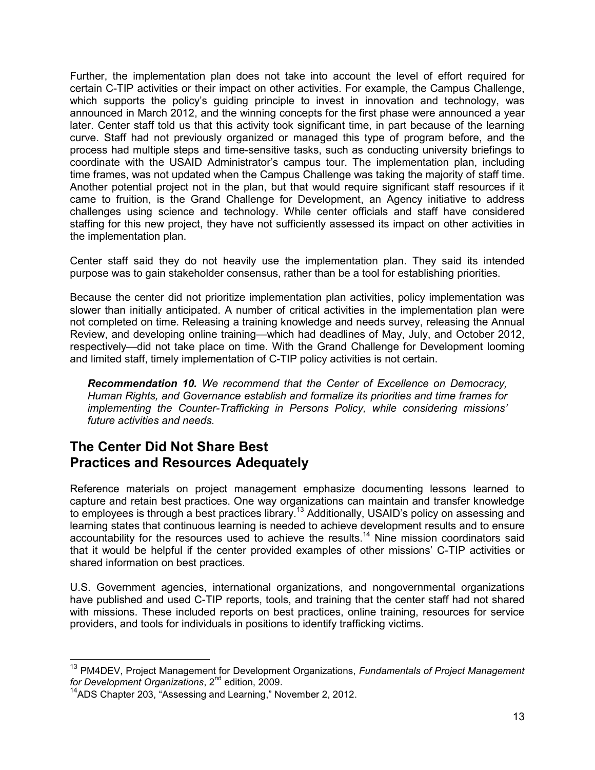Further, the implementation plan does not take into account the level of effort required for certain C-TIP activities or their impact on other activities. For example, the Campus Challenge, which supports the policy's guiding principle to invest in innovation and technology, was announced in March 2012, and the winning concepts for the first phase were announced a year later. Center staff told us that this activity took significant time, in part because of the learning curve. Staff had not previously organized or managed this type of program before, and the process had multiple steps and time-sensitive tasks, such as conducting university briefings to coordinate with the USAID Administrator's campus tour. The implementation plan, including time frames, was not updated when the Campus Challenge was taking the majority of staff time. Another potential project not in the plan, but that would require significant staff resources if it came to fruition, is the Grand Challenge for Development, an Agency initiative to address challenges using science and technology. While center officials and staff have considered staffing for this new project, they have not sufficiently assessed its impact on other activities in the implementation plan.

Center staff said they do not heavily use the implementation plan. They said its intended purpose was to gain stakeholder consensus, rather than be a tool for establishing priorities.

Because the center did not prioritize implementation plan activities, policy implementation was slower than initially anticipated. A number of critical activities in the implementation plan were not completed on time. Releasing a training knowledge and needs survey, releasing the Annual Review, and developing online training—which had deadlines of May, July, and October 2012, respectively—did not take place on time. With the Grand Challenge for Development looming and limited staff, timely implementation of C-TIP policy activities is not certain.

<span id="page-13-1"></span>*Recommendation 10. We recommend that the Center of Excellence on Democracy, Human Rights, and Governance establish and formalize its priorities and time frames for implementing the Counter-Trafficking in Persons Policy, while considering missions' future activities and needs.*

## <span id="page-13-0"></span>**The Center Did Not Share Best Practices and Resources Adequately**

Reference materials on project management emphasize documenting lessons learned to capture and retain best practices. One way organizations can maintain and transfer knowledge to employees is through a best practices library.<sup>13</sup> Additionally, USAID's policy on assessing and learning states that continuous learning is needed to achieve development results and to ensure accountability for the resources used to achieve the results.<sup>14</sup> Nine mission coordinators said that it would be helpful if the center provided examples of other missions' C-TIP activities or shared information on best practices.

U.S. Government agencies, international organizations, and nongovernmental organizations have published and used C-TIP reports, tools, and training that the center staff had not shared with missions. These included reports on best practices, online training, resources for service providers, and tools for individuals in positions to identify trafficking victims.

 $\overline{a}$ 

<sup>13</sup> PM4DEV, Project Management for Development Organizations, *Fundamentals of Project Management for Development Organizations*, 2nd edition, 2009.

<sup>&</sup>lt;sup>14</sup>ADS Chapter 203, "Assessing and Learning," November 2, 2012.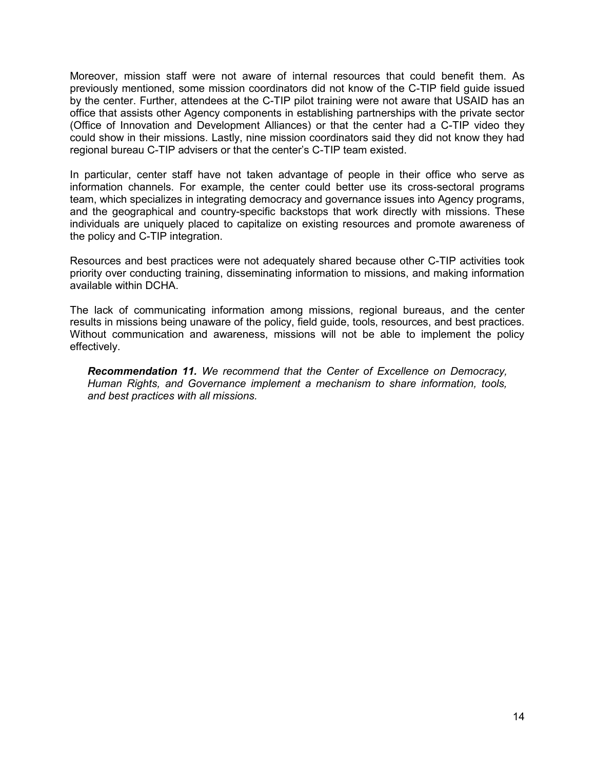Moreover, mission staff were not aware of internal resources that could benefit them. As previously mentioned, some mission coordinators did not know of the C-TIP field guide issued by the center. Further, attendees at the C-TIP pilot training were not aware that USAID has an office that assists other Agency components in establishing partnerships with the private sector (Office of Innovation and Development Alliances) or that the center had a C-TIP video they could show in their missions. Lastly, nine mission coordinators said they did not know they had regional bureau C-TIP advisers or that the center's C-TIP team existed.

In particular, center staff have not taken advantage of people in their office who serve as information channels. For example, the center could better use its cross-sectoral programs team, which specializes in integrating democracy and governance issues into Agency programs, and the geographical and country-specific backstops that work directly with missions. These individuals are uniquely placed to capitalize on existing resources and promote awareness of the policy and C-TIP integration.

Resources and best practices were not adequately shared because other C-TIP activities took priority over conducting training, disseminating information to missions, and making information available within DCHA.

The lack of communicating information among missions, regional bureaus, and the center results in missions being unaware of the policy, field guide, tools, resources, and best practices. Without communication and awareness, missions will not be able to implement the policy effectively.

<span id="page-14-0"></span>*Recommendation 11. We recommend that the Center of Excellence on Democracy, Human Rights, and Governance implement a mechanism to share information, tools, and best practices with all missions.*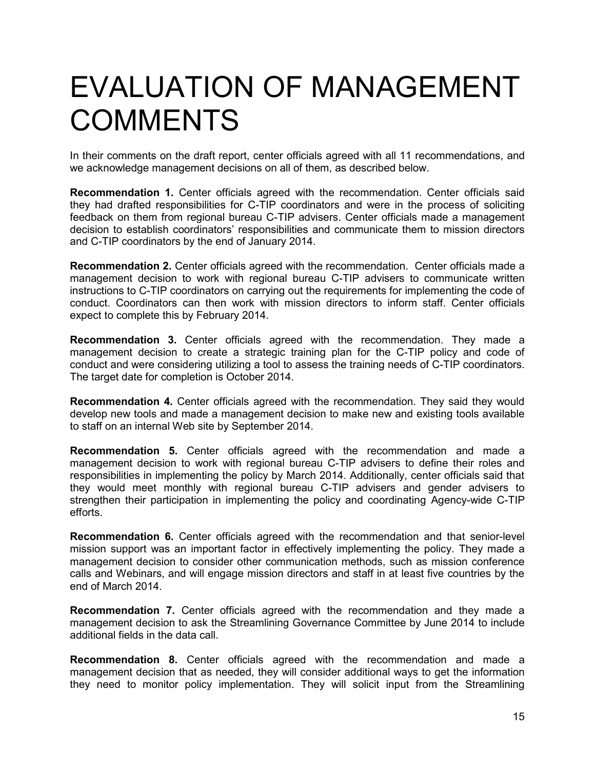## <span id="page-15-0"></span>EVALUATION OF MANAGEMENT **COMMENTS**

In their comments on the draft report, center officials agreed with all 11 recommendations, and we acknowledge management decisions on all of them, as described below.

**Recommendation 1.** Center officials agreed with the recommendation. Center officials said they had drafted responsibilities for C-TIP coordinators and were in the process of soliciting feedback on them from regional bureau C-TIP advisers. Center officials made a management decision to establish coordinators' responsibilities and communicate them to mission directors and C-TIP coordinators by the end of January 2014.

**Recommendation 2.** Center officials agreed with the recommendation. Center officials made a management decision to work with regional bureau C-TIP advisers to communicate written instructions to C-TIP coordinators on carrying out the requirements for implementing the code of conduct. Coordinators can then work with mission directors to inform staff. Center officials expect to complete this by February 2014.

**Recommendation 3.** Center officials agreed with the recommendation. They made a management decision to create a strategic training plan for the C-TIP policy and code of conduct and were considering utilizing a tool to assess the training needs of C-TIP coordinators. The target date for completion is October 2014.

**Recommendation 4.** Center officials agreed with the recommendation. They said they would develop new tools and made a management decision to make new and existing tools available to staff on an internal Web site by September 2014.

**Recommendation 5.** Center officials agreed with the recommendation and made a management decision to work with regional bureau C-TIP advisers to define their roles and responsibilities in implementing the policy by March 2014. Additionally, center officials said that they would meet monthly with regional bureau C-TIP advisers and gender advisers to strengthen their participation in implementing the policy and coordinating Agency-wide C-TIP efforts.

**Recommendation 6.** Center officials agreed with the recommendation and that senior-level mission support was an important factor in effectively implementing the policy. They made a management decision to consider other communication methods, such as mission conference calls and Webinars, and will engage mission directors and staff in at least five countries by the end of March 2014.

**Recommendation 7.** Center officials agreed with the recommendation and they made a management decision to ask the Streamlining Governance Committee by June 2014 to include additional fields in the data call.

**Recommendation 8.** Center officials agreed with the recommendation and made a management decision that as needed, they will consider additional ways to get the information they need to monitor policy implementation. They will solicit input from the Streamlining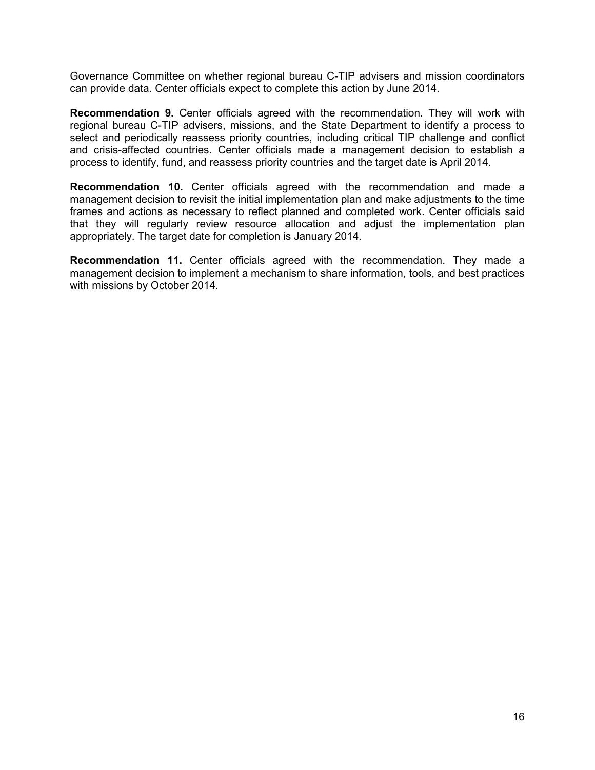Governance Committee on whether regional bureau C-TIP advisers and mission coordinators can provide data. Center officials expect to complete this action by June 2014.

**Recommendation 9.** Center officials agreed with the recommendation. They will work with regional bureau C-TIP advisers, missions, and the State Department to identify a process to select and periodically reassess priority countries, including critical TIP challenge and conflict and crisis-affected countries. Center officials made a management decision to establish a process to identify, fund, and reassess priority countries and the target date is April 2014.

**Recommendation 10.** Center officials agreed with the recommendation and made a management decision to revisit the initial implementation plan and make adjustments to the time frames and actions as necessary to reflect planned and completed work. Center officials said that they will regularly review resource allocation and adjust the implementation plan appropriately. The target date for completion is January 2014.

**Recommendation 11.** Center officials agreed with the recommendation. They made a management decision to implement a mechanism to share information, tools, and best practices with missions by October 2014.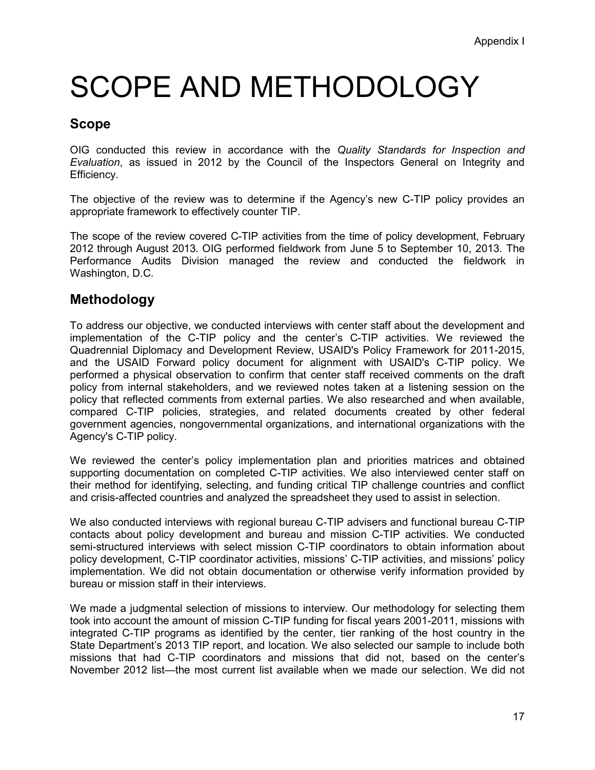# SCOPE AND METHODOLOGY

### **Scope**

OIG conducted this review in accordance with the *Quality Standards for Inspection and Evaluation*, as issued in 2012 by the Council of the Inspectors General on Integrity and Efficiency.

The objective of the review was to determine if the Agency's new C-TIP policy provides an appropriate framework to effectively counter TIP.

The scope of the review covered C-TIP activities from the time of policy development, February 2012 through August 2013. OIG performed fieldwork from June 5 to September 10, 2013. The Performance Audits Division managed the review and conducted the fieldwork in Washington, D.C.

#### **Methodology**

To address our objective, we conducted interviews with center staff about the development and implementation of the C-TIP policy and the center's C-TIP activities. We reviewed the Quadrennial Diplomacy and Development Review, USAID's Policy Framework for 2011-2015, and the USAID Forward policy document for alignment with USAID's C-TIP policy. We performed a physical observation to confirm that center staff received comments on the draft policy from internal stakeholders, and we reviewed notes taken at a listening session on the policy that reflected comments from external parties. We also researched and when available, compared C-TIP policies, strategies, and related documents created by other federal government agencies, nongovernmental organizations, and international organizations with the Agency's C-TIP policy.

We reviewed the center's policy implementation plan and priorities matrices and obtained supporting documentation on completed C-TIP activities. We also interviewed center staff on their method for identifying, selecting, and funding critical TIP challenge countries and conflict and crisis-affected countries and analyzed the spreadsheet they used to assist in selection.

We also conducted interviews with regional bureau C-TIP advisers and functional bureau C-TIP contacts about policy development and bureau and mission C-TIP activities. We conducted semi-structured interviews with select mission C-TIP coordinators to obtain information about policy development, C-TIP coordinator activities, missions' C-TIP activities, and missions' policy implementation. We did not obtain documentation or otherwise verify information provided by bureau or mission staff in their interviews.

We made a judgmental selection of missions to interview. Our methodology for selecting them took into account the amount of mission C-TIP funding for fiscal years 2001-2011, missions with integrated C-TIP programs as identified by the center, tier ranking of the host country in the State Department's 2013 TIP report, and location. We also selected our sample to include both missions that had C-TIP coordinators and missions that did not, based on the center's November 2012 list—the most current list available when we made our selection. We did not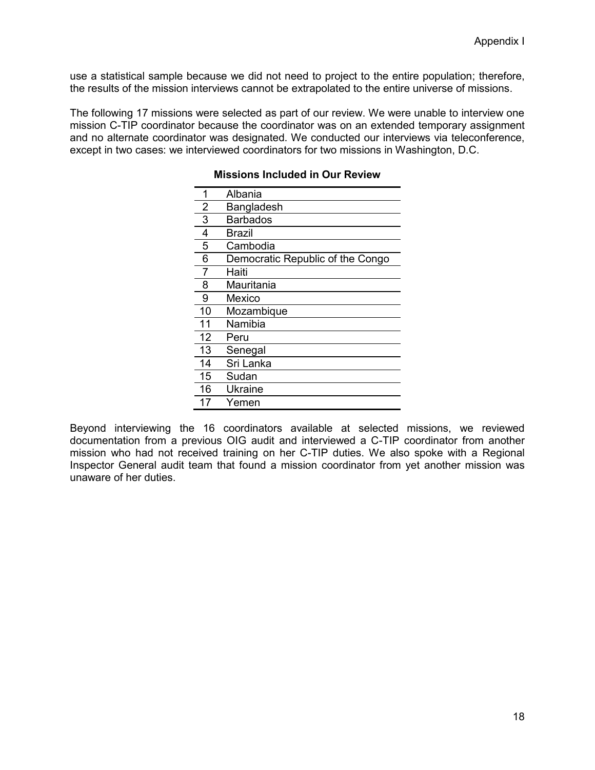use a statistical sample because we did not need to project to the entire population; therefore, the results of the mission interviews cannot be extrapolated to the entire universe of missions.

The following 17 missions were selected as part of our review. We were unable to interview one mission C-TIP coordinator because the coordinator was on an extended temporary assignment and no alternate coordinator was designated. We conducted our interviews via teleconference, except in two cases: we interviewed coordinators for two missions in Washington, D.C.

| Albania                          |
|----------------------------------|
| Bangladesh                       |
| Barbados                         |
| Brazil                           |
| Cambodia                         |
| Democratic Republic of the Congo |
| Haiti                            |
| Mauritania                       |
| Mexico                           |
| Mozambique                       |
| Namibia                          |
| Peru                             |
| Senegal                          |
| Sri Lanka                        |
| Sudan                            |
| Ukraine                          |
| Yemen                            |
|                                  |

#### **Missions Included in Our Review**

Beyond interviewing the 16 coordinators available at selected missions, we reviewed documentation from a previous OIG audit and interviewed a C-TIP coordinator from another mission who had not received training on her C-TIP duties. We also spoke with a Regional Inspector General audit team that found a mission coordinator from yet another mission was unaware of her duties.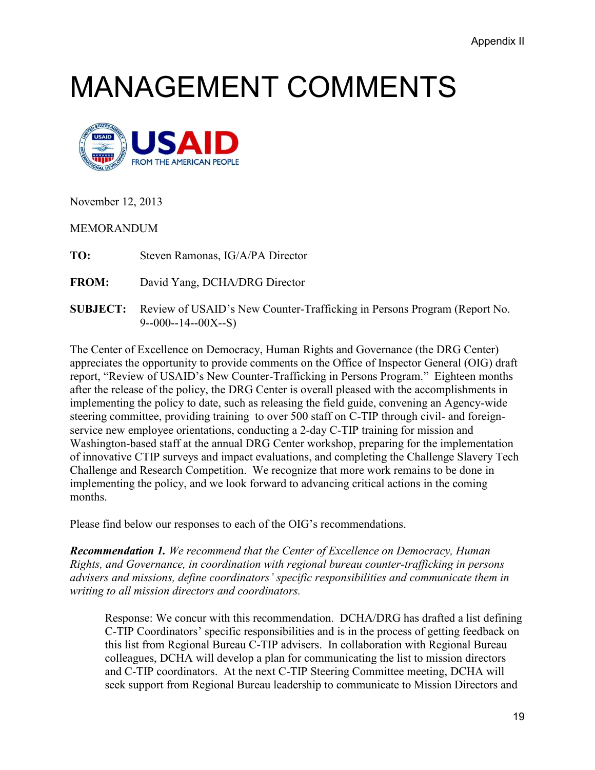## MANAGEMENT COMMENTS



November 12, 2013

MEMORANDUM

**TO:** Steven Ramonas, IG/A/PA Director

**FROM:** David Yang, DCHA/DRG Director

**SUBJECT:** Review of USAID's New Counter-Trafficking in Persons Program (Report No.  $9 - 000 - 14 - 00X - S$ 

The Center of Excellence on Democracy, Human Rights and Governance (the DRG Center) appreciates the opportunity to provide comments on the Office of Inspector General (OIG) draft report, "Review of USAID's New Counter-Trafficking in Persons Program." Eighteen months after the release of the policy, the DRG Center is overall pleased with the accomplishments in implementing the policy to date, such as releasing the field guide, convening an Agency-wide steering committee, providing training to over 500 staff on C-TIP through civil- and foreignservice new employee orientations, conducting a 2-day C-TIP training for mission and Washington-based staff at the annual DRG Center workshop, preparing for the implementation of innovative CTIP surveys and impact evaluations, and completing the Challenge Slavery Tech Challenge and Research Competition. We recognize that more work remains to be done in implementing the policy, and we look forward to advancing critical actions in the coming months.

Please find below our responses to each of the OIG's recommendations.

*Recommendation 1. We recommend that the Center of Excellence on Democracy, Human Rights, and Governance, in coordination with regional bureau counter-trafficking in persons advisers and missions, define coordinators' specific responsibilities and communicate them in writing to all mission directors and coordinators.*

Response: We concur with this recommendation. DCHA/DRG has drafted a list defining C-TIP Coordinators' specific responsibilities and is in the process of getting feedback on this list from Regional Bureau C-TIP advisers. In collaboration with Regional Bureau colleagues, DCHA will develop a plan for communicating the list to mission directors and C-TIP coordinators. At the next C-TIP Steering Committee meeting, DCHA will seek support from Regional Bureau leadership to communicate to Mission Directors and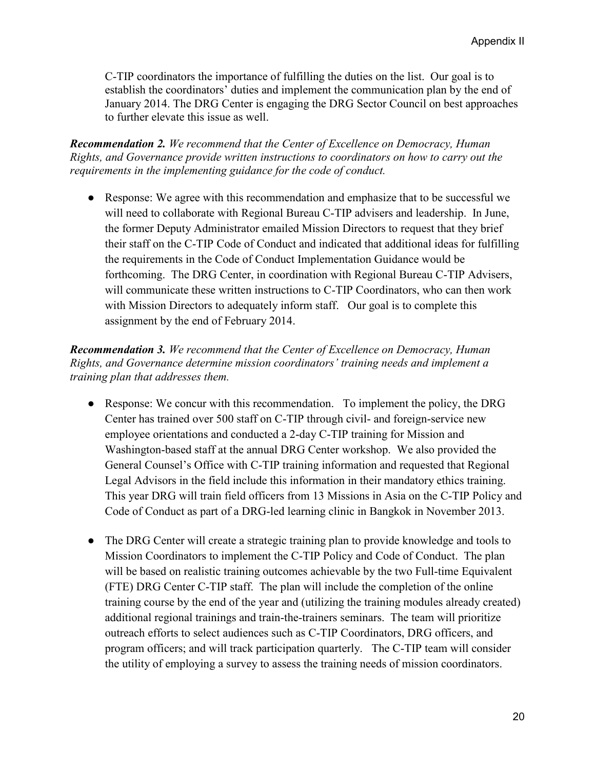C-TIP coordinators the importance of fulfilling the duties on the list. Our goal is to establish the coordinators' duties and implement the communication plan by the end of January 2014. The DRG Center is engaging the DRG Sector Council on best approaches to further elevate this issue as well.

*Recommendation 2. We recommend that the Center of Excellence on Democracy, Human Rights, and Governance provide written instructions to coordinators on how to carry out the requirements in the implementing guidance for the code of conduct.*

● Response: We agree with this recommendation and emphasize that to be successful we will need to collaborate with Regional Bureau C-TIP advisers and leadership. In June, the former Deputy Administrator emailed Mission Directors to request that they brief their staff on the C-TIP Code of Conduct and indicated that additional ideas for fulfilling the requirements in the Code of Conduct Implementation Guidance would be forthcoming. The DRG Center, in coordination with Regional Bureau C-TIP Advisers, will communicate these written instructions to C-TIP Coordinators, who can then work with Mission Directors to adequately inform staff. Our goal is to complete this assignment by the end of February 2014.

#### *Recommendation 3. We recommend that the Center of Excellence on Democracy, Human Rights, and Governance determine mission coordinators' training needs and implement a training plan that addresses them.*

- Response: We concur with this recommendation. To implement the policy, the DRG Center has trained over 500 staff on C-TIP through civil- and foreign-service new employee orientations and conducted a 2-day C-TIP training for Mission and Washington-based staff at the annual DRG Center workshop. We also provided the General Counsel's Office with C-TIP training information and requested that Regional Legal Advisors in the field include this information in their mandatory ethics training. This year DRG will train field officers from 13 Missions in Asia on the C-TIP Policy and Code of Conduct as part of a DRG-led learning clinic in Bangkok in November 2013.
- The DRG Center will create a strategic training plan to provide knowledge and tools to Mission Coordinators to implement the C-TIP Policy and Code of Conduct. The plan will be based on realistic training outcomes achievable by the two Full-time Equivalent (FTE) DRG Center C-TIP staff. The plan will include the completion of the online training course by the end of the year and (utilizing the training modules already created) additional regional trainings and train-the-trainers seminars. The team will prioritize outreach efforts to select audiences such as C-TIP Coordinators, DRG officers, and program officers; and will track participation quarterly. The C-TIP team will consider the utility of employing a survey to assess the training needs of mission coordinators.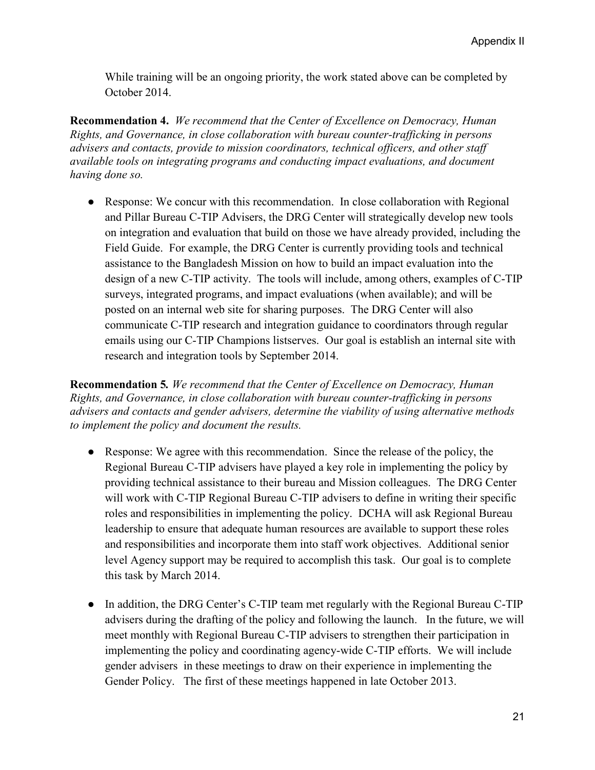While training will be an ongoing priority, the work stated above can be completed by October 2014.

**Recommendation 4.** *We recommend that the Center of Excellence on Democracy, Human Rights, and Governance, in close collaboration with bureau counter-trafficking in persons advisers and contacts, provide to mission coordinators, technical officers, and other staff available tools on integrating programs and conducting impact evaluations, and document having done so.*

● Response: We concur with this recommendation. In close collaboration with Regional and Pillar Bureau C-TIP Advisers, the DRG Center will strategically develop new tools on integration and evaluation that build on those we have already provided, including the Field Guide. For example, the DRG Center is currently providing tools and technical assistance to the Bangladesh Mission on how to build an impact evaluation into the design of a new C-TIP activity. The tools will include, among others, examples of C-TIP surveys, integrated programs, and impact evaluations (when available); and will be posted on an internal web site for sharing purposes. The DRG Center will also communicate C-TIP research and integration guidance to coordinators through regular emails using our C-TIP Champions listserves. Our goal is establish an internal site with research and integration tools by September 2014.

**Recommendation 5***. We recommend that the Center of Excellence on Democracy, Human Rights, and Governance, in close collaboration with bureau counter-trafficking in persons advisers and contacts and gender advisers, determine the viability of using alternative methods to implement the policy and document the results.*

- Response: We agree with this recommendation. Since the release of the policy, the Regional Bureau C-TIP advisers have played a key role in implementing the policy by providing technical assistance to their bureau and Mission colleagues. The DRG Center will work with C-TIP Regional Bureau C-TIP advisers to define in writing their specific roles and responsibilities in implementing the policy. DCHA will ask Regional Bureau leadership to ensure that adequate human resources are available to support these roles and responsibilities and incorporate them into staff work objectives. Additional senior level Agency support may be required to accomplish this task. Our goal is to complete this task by March 2014.
- In addition, the DRG Center's C-TIP team met regularly with the Regional Bureau C-TIP advisers during the drafting of the policy and following the launch. In the future, we will meet monthly with Regional Bureau C-TIP advisers to strengthen their participation in implementing the policy and coordinating agency-wide C-TIP efforts. We will include gender advisers in these meetings to draw on their experience in implementing the Gender Policy. The first of these meetings happened in late October 2013.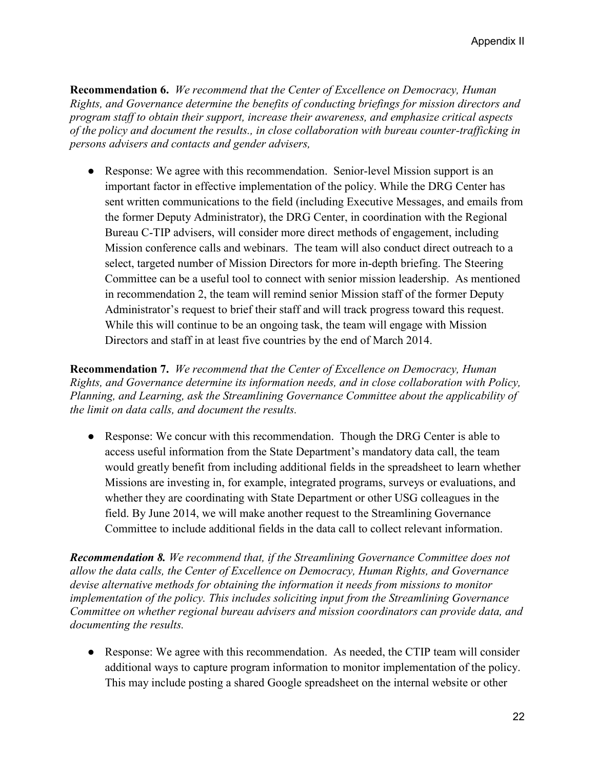**Recommendation 6.** *We recommend that the Center of Excellence on Democracy, Human Rights, and Governance determine the benefits of conducting briefings for mission directors and program staff to obtain their support, increase their awareness, and emphasize critical aspects of the policy and document the results., in close collaboration with bureau counter-trafficking in persons advisers and contacts and gender advisers,* 

• Response: We agree with this recommendation. Senior-level Mission support is an important factor in effective implementation of the policy. While the DRG Center has sent written communications to the field (including Executive Messages, and emails from the former Deputy Administrator), the DRG Center, in coordination with the Regional Bureau C-TIP advisers, will consider more direct methods of engagement, including Mission conference calls and webinars. The team will also conduct direct outreach to a select, targeted number of Mission Directors for more in-depth briefing. The Steering Committee can be a useful tool to connect with senior mission leadership. As mentioned in recommendation 2, the team will remind senior Mission staff of the former Deputy Administrator's request to brief their staff and will track progress toward this request. While this will continue to be an ongoing task, the team will engage with Mission Directors and staff in at least five countries by the end of March 2014.

**Recommendation 7.** *We recommend that the Center of Excellence on Democracy, Human Rights, and Governance determine its information needs, and in close collaboration with Policy, Planning, and Learning, ask the Streamlining Governance Committee about the applicability of the limit on data calls, and document the results.*

• Response: We concur with this recommendation. Though the DRG Center is able to access useful information from the State Department's mandatory data call, the team would greatly benefit from including additional fields in the spreadsheet to learn whether Missions are investing in, for example, integrated programs, surveys or evaluations, and whether they are coordinating with State Department or other USG colleagues in the field. By June 2014, we will make another request to the Streamlining Governance Committee to include additional fields in the data call to collect relevant information.

*Recommendation 8. We recommend that, if the Streamlining Governance Committee does not allow the data calls, the Center of Excellence on Democracy, Human Rights, and Governance devise alternative methods for obtaining the information it needs from missions to monitor implementation of the policy. This includes soliciting input from the Streamlining Governance Committee on whether regional bureau advisers and mission coordinators can provide data, and documenting the results.*

• Response: We agree with this recommendation. As needed, the CTIP team will consider additional ways to capture program information to monitor implementation of the policy. This may include posting a shared Google spreadsheet on the internal website or other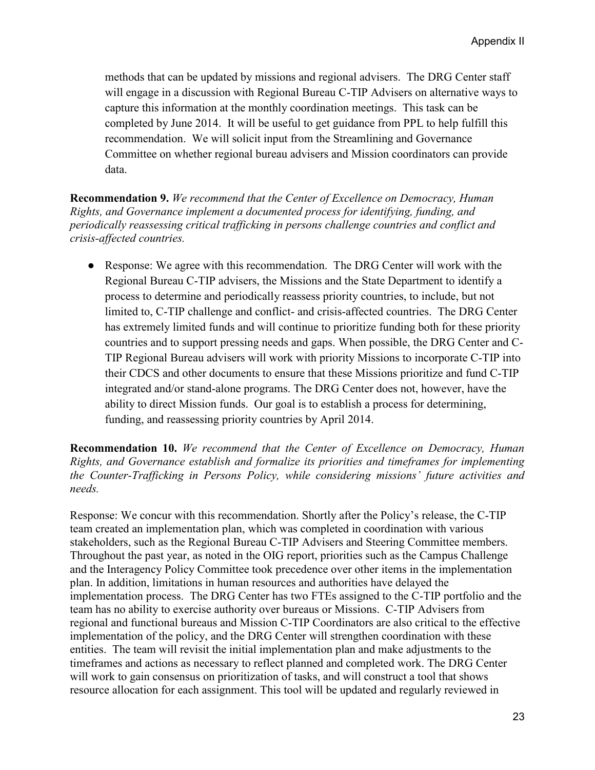methods that can be updated by missions and regional advisers. The DRG Center staff will engage in a discussion with Regional Bureau C-TIP Advisers on alternative ways to capture this information at the monthly coordination meetings. This task can be completed by June 2014. It will be useful to get guidance from PPL to help fulfill this recommendation. We will solicit input from the Streamlining and Governance Committee on whether regional bureau advisers and Mission coordinators can provide data.

**Recommendation 9.** *We recommend that the Center of Excellence on Democracy, Human Rights, and Governance implement a documented process for identifying, funding, and periodically reassessing critical trafficking in persons challenge countries and conflict and crisis-affected countries.*

• Response: We agree with this recommendation. The DRG Center will work with the Regional Bureau C-TIP advisers, the Missions and the State Department to identify a process to determine and periodically reassess priority countries, to include, but not limited to, C-TIP challenge and conflict- and crisis-affected countries. The DRG Center has extremely limited funds and will continue to prioritize funding both for these priority countries and to support pressing needs and gaps. When possible, the DRG Center and C-TIP Regional Bureau advisers will work with priority Missions to incorporate C-TIP into their CDCS and other documents to ensure that these Missions prioritize and fund C-TIP integrated and/or stand-alone programs. The DRG Center does not, however, have the ability to direct Mission funds. Our goal is to establish a process for determining, funding, and reassessing priority countries by April 2014.

#### **Recommendation 10.** *We recommend that the Center of Excellence on Democracy, Human Rights, and Governance establish and formalize its priorities and timeframes for implementing the Counter-Trafficking in Persons Policy, while considering missions' future activities and needs.*

Response: We concur with this recommendation. Shortly after the Policy's release, the C-TIP team created an implementation plan, which was completed in coordination with various stakeholders, such as the Regional Bureau C-TIP Advisers and Steering Committee members. Throughout the past year, as noted in the OIG report, priorities such as the Campus Challenge and the Interagency Policy Committee took precedence over other items in the implementation plan. In addition, limitations in human resources and authorities have delayed the implementation process. The DRG Center has two FTEs assigned to the C-TIP portfolio and the team has no ability to exercise authority over bureaus or Missions. C-TIP Advisers from regional and functional bureaus and Mission C-TIP Coordinators are also critical to the effective implementation of the policy, and the DRG Center will strengthen coordination with these entities. The team will revisit the initial implementation plan and make adjustments to the timeframes and actions as necessary to reflect planned and completed work. The DRG Center will work to gain consensus on prioritization of tasks, and will construct a tool that shows resource allocation for each assignment. This tool will be updated and regularly reviewed in